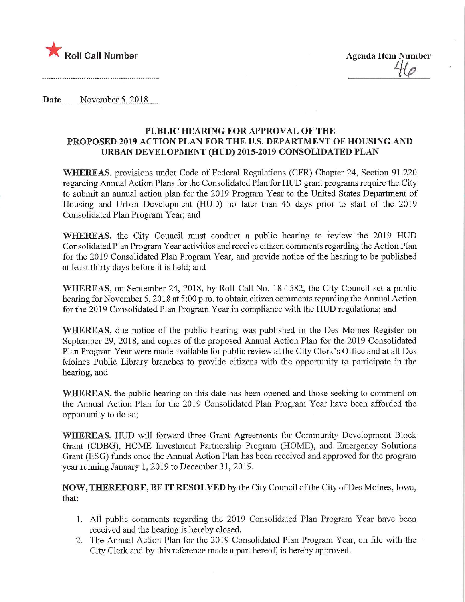

Date November 5, 2018

## PUBLIC HEARING FOR APPROVAL OF THE PROPOSED 2019 ACTION PLAN FOR THE U.S. DEPARTMENT OF HOUSING AND URBAN DEVELOPMENT (HUD) 2015-2019 CONSOLIDATED PLAN

WHEREAS, provisions under Code of Federal Regulations (CFR) Chapter 24, Section 91.220 regarding Annual Action Plans for the Consolidated Plan for HUD grant programs require the City to submit an annual action plan for the 2019 Program Year to the United States Department of Housing and Urban Development (HUD) no later than 45 days prior to start of the 2019 Consolidated Plan Program Year; and

WHEREAS, the City Council must conduct a public hearing to review the 2019 HUD Consolidated Plan Program Year activities and receive citizen comments regarding the Action Plan for the 2019 Consolidated Plan Program Year, and provide notice of the hearing to be published at least thirty days before it is held; and

WHEREAS, on September 24, 2018, by Roll Call No. 18-1582, the City Council set a public hearing for November 5, 2018 at 5:00 p.m. to obtain citizen comments regarding the Annual Action for the 2019 Consolidated Plan Program Year in compliance with the HUD regulations; and

WHEREAS, due notice of the public hearing was published in the Des Moines Register on September 29, 2018, and copies of the proposed Annual Action Plan for the 2019 Consolidated Plan Program Year were made available for public review at the City Clerk's Office and at all Des Moines Public Library branches to provide citizens with the opportunity to participate in the hearing; and

WHEREAS, the public hearing on this date has been opened and those seeking to comment on the Annual Action Plan for the 2019 Consolidated Plan Program Year have been afforded the opportunity to do so;

WHEREAS, HUD will forward three Grant Agreements for Community Development Block Grant (CDBG), HOME Investment Partnership Program (HOME), and Emergency Solutions Grant (ESG) funds once the Annual Action Plan has been received and approved for the program year running January 1, 2019 to December 31, 2019.

NOW, THEREFORE, BE IT RESOLVED by the City Council of the City ofDes Moines, Iowa, that:

- 1. All public comments regarding the 2019 Consolidated Plan Program Year have been received and the hearing is hereby closed.
- 2. The Annual Action Plan for the 2019 Consolidated Plan Program Year, on file with the City Clerk and by this reference made a part hereof, is hereby approved.